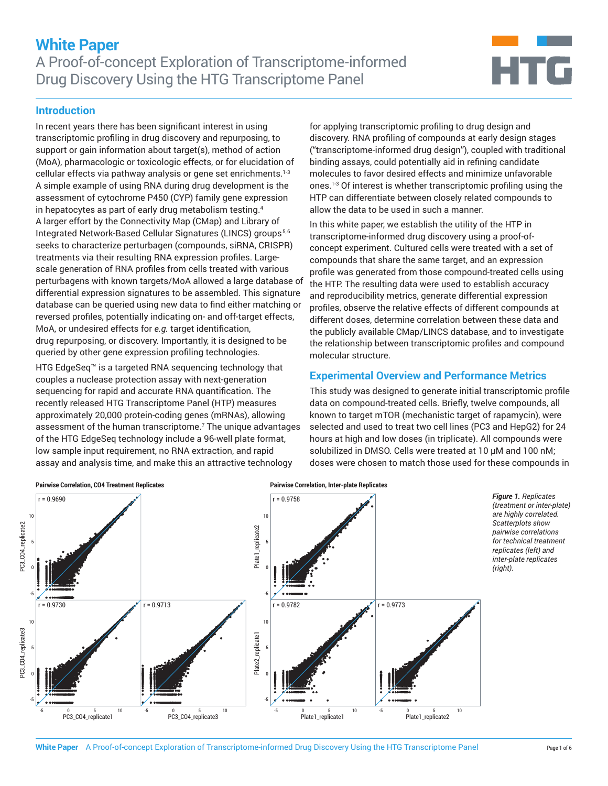

### **Introduction**

In recent years there has been significant interest in using transcriptomic profiling in drug discovery and repurposing, to support or gain information about target(s), method of action (MoA), pharmacologic or toxicologic effects, or for elucidation of cellular effects via pathway analysis or gene set enrichments.<sup>1-3</sup> A simple example of using RNA during drug development is the assessment of cytochrome P450 (CYP) family gene expression in hepatocytes as part of early drug metabolism testing.4 A larger effort by the Connectivity Map (CMap) and Library of Integrated Network-Based Cellular Signatures (LINCS) groups<sup>5,6</sup> seeks to characterize perturbagen (compounds, siRNA, CRISPR) treatments via their resulting RNA expression profiles. Largescale generation of RNA profiles from cells treated with various perturbagens with known targets/MoA allowed a large database of differential expression signatures to be assembled. This signature database can be queried using new data to find either matching or reversed profiles, potentially indicating on- and off-target effects, MoA, or undesired effects for *e.g.* target identification, drug repurposing, or discovery. Importantly, it is designed to be queried by other gene expression profiling technologies.

HTG EdgeSeq™ is a targeted RNA sequencing technology that couples a nuclease protection assay with next-generation sequencing for rapid and accurate RNA quantification. The recently released HTG Transcriptome Panel (HTP) measures approximately 20,000 protein-coding genes (mRNAs), allowing assessment of the human transcriptome.7 The unique advantages of the HTG EdgeSeq technology include a 96-well plate format, low sample input requirement, no RNA extraction, and rapid assay and analysis time, and make this an attractive technology

for applying transcriptomic profiling to drug design and discovery. RNA profiling of compounds at early design stages ("transcriptome-informed drug design"), coupled with traditional binding assays, could potentially aid in refining candidate molecules to favor desired effects and minimize unfavorable ones.1-3 Of interest is whether transcriptomic profiling using the HTP can differentiate between closely related compounds to allow the data to be used in such a manner.

In this white paper, we establish the utility of the HTP in transcriptome-informed drug discovery using a proof-ofconcept experiment. Cultured cells were treated with a set of compounds that share the same target, and an expression profile was generated from those compound-treated cells using the HTP. The resulting data were used to establish accuracy and reproducibility metrics, generate differential expression profiles, observe the relative effects of different compounds at different doses, determine correlation between these data and the publicly available CMap/LINCS database, and to investigate the relationship between transcriptomic profiles and compound molecular structure.

## **Experimental Overview and Performance Metrics**

This study was designed to generate initial transcriptomic profile data on compound-treated cells. Briefly, twelve compounds, all known to target mTOR (mechanistic target of rapamycin), were selected and used to treat two cell lines (PC3 and HepG2) for 24 hours at high and low doses (in triplicate). All compounds were solubilized in DMSO. Cells were treated at 10 µM and 100 nM; doses were chosen to match those used for these compounds in

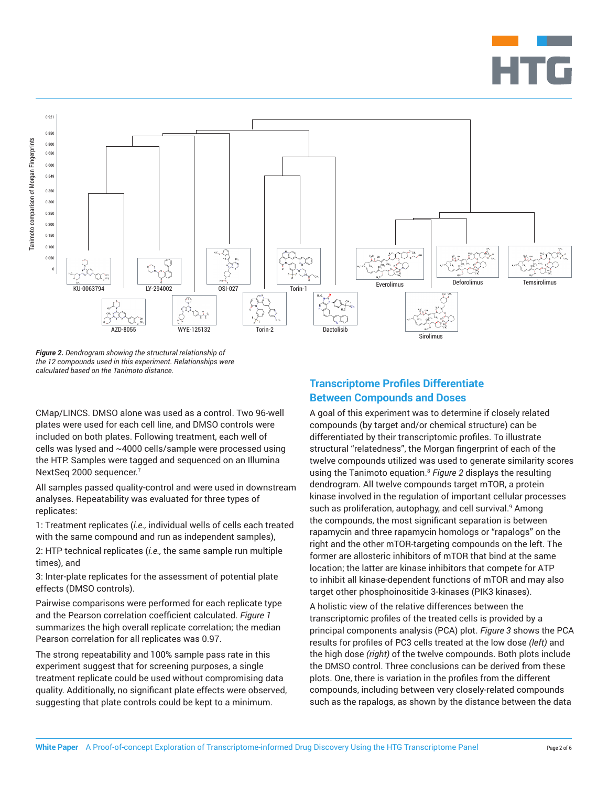



*Figure 2. Dendrogram showing the structural relationship of the 12 compounds used in this experiment. Relationships were calculated based on the Tanimoto distance.*

CMap/LINCS. DMSO alone was used as a control. Two 96-well plates were used for each cell line, and DMSO controls were included on both plates. Following treatment, each well of cells was lysed and ~4000 cells/sample were processed using the HTP. Samples were tagged and sequenced on an Illumina NextSeq 2000 sequencer.<sup>7</sup>

All samples passed quality-control and were used in downstream analyses. Repeatability was evaluated for three types of replicates:

1: Treatment replicates (*i.e.,* individual wells of cells each treated with the same compound and run as independent samples),

2: HTP technical replicates (*i.e.,* the same sample run multiple times), and

3: Inter-plate replicates for the assessment of potential plate effects (DMSO controls).

Pairwise comparisons were performed for each replicate type and the Pearson correlation coefficient calculated. *Figure 1* summarizes the high overall replicate correlation; the median Pearson correlation for all replicates was 0.97.

The strong repeatability and 100% sample pass rate in this experiment suggest that for screening purposes, a single treatment replicate could be used without compromising data quality. Additionally, no significant plate effects were observed, suggesting that plate controls could be kept to a minimum.

# **Transcriptome Profiles Differentiate Between Compounds and Doses**

A goal of this experiment was to determine if closely related compounds (by target and/or chemical structure) can be differentiated by their transcriptomic profiles. To illustrate structural "relatedness", the Morgan fingerprint of each of the twelve compounds utilized was used to generate similarity scores using the Tanimoto equation.8 *Figure 2* displays the resulting dendrogram. All twelve compounds target mTOR, a protein kinase involved in the regulation of important cellular processes such as proliferation, autophagy, and cell survival.<sup>9</sup> Among the compounds, the most significant separation is between rapamycin and three rapamycin homologs or "rapalogs" on the right and the other mTOR-targeting compounds on the left. The former are allosteric inhibitors of mTOR that bind at the same location; the latter are kinase inhibitors that compete for ATP to inhibit all kinase-dependent functions of mTOR and may also target other phosphoinositide 3-kinases (PIK3 kinases).

A holistic view of the relative differences between the transcriptomic profiles of the treated cells is provided by a principal components analysis (PCA) plot. *Figure 3* shows the PCA results for profiles of PC3 cells treated at the low dose *(left)* and the high dose *(right)* of the twelve compounds. Both plots include the DMSO control. Three conclusions can be derived from these plots. One, there is variation in the profiles from the different compounds, including between very closely-related compounds such as the rapalogs, as shown by the distance between the data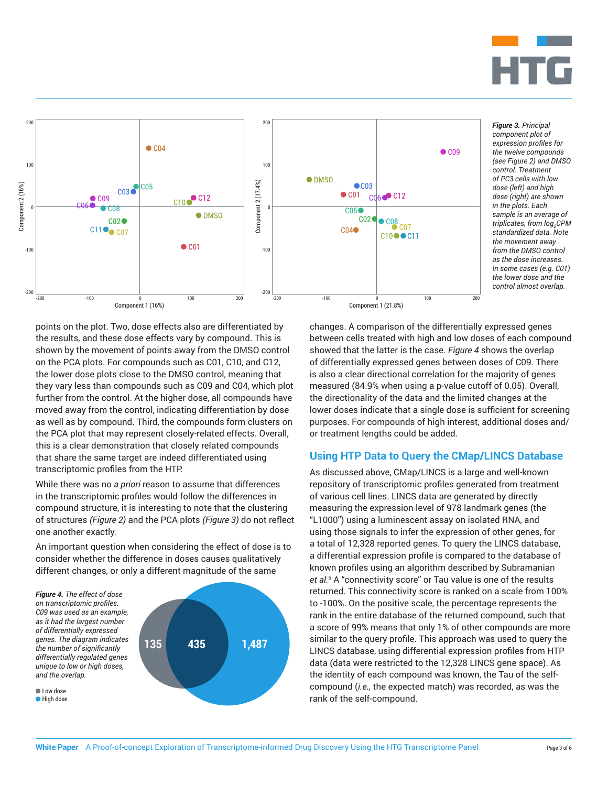

*Figure 3. Principal component plot of expression profiles for the twelve compounds (see Figure 2) and DMSO control. Treatment of PC3 cells with low dose (left) and high dose (right) are shown in the plots. Each sample is an average of triplicates, from*  $log_2$ *CPM standardized data. Note the movement away from the DMSO control as the dose increases. In some cases (e.g. C01) the lower dose and the control almost overlap.*



Component 1 (16%)

-200 -100 0 100 200

CO3 0 CO5

 $\bullet$  CO9

 $0.02$  $C11$   $\bullet$   $C07$   $\bullet$  CO<sub>4</sub>

C10<sup>o</sup> C12

 $\bullet$  C01

**ODMSO** 

 $\frac{1}{2}$  (100)<br>Component 2 (100)<br>Component 2 (100)<br>Component 2 (100)<br>Component 2 (100)<br>Component 2 (100)<br>Component 2 (100)<br>Component 2 (100)<br>Component 2 (100)<br>Component 2 (100)<br>Component 2 (100)<br>Component 2 (100)<br>Compone 100

Component 2 (16%)

200

0

-100

-200

While there was no *a priori* reason to assume that differences in the transcriptomic profiles would follow the differences in compound structure, it is interesting to note that the clustering of structures *(Figure 2)* and the PCA plots *(Figure 3)* do not reflect one another exactly.

An important question when considering the effect of dose is to consider whether the difference in doses causes qualitatively different changes, or only a different magnitude of the same



changes. A comparison of the differentially expressed genes between cells treated with high and low doses of each compound showed that the latter is the case. *Figure 4* shows the overlap of differentially expressed genes between doses of C09. There is also a clear directional correlation for the majority of genes measured (84.9% when using a p-value cutoff of 0.05). Overall, the directionality of the data and the limited changes at the lower doses indicate that a single dose is sufficient for screening purposes. For compounds of high interest, additional doses and/ or treatment lengths could be added.

 $\bullet$  C<sub>09</sub>

Component 1 (21.8%)

-200 -100 0 100 200

 $\bullet$ CO3

 $C<sub>02</sub>$ 

 $C<sub>06</sub>$   $C<sub>12</sub>$ 

 $\bullet$  C<sub>08</sub> <sub>C<sub>07</sub></sub>

C10●●C11

 $\bullet$  C<sub>01</sub>

 $C<sub>05</sub>$ 

 $C<sub>04</sub>$ 

## **Using HTP Data to Query the CMap/LINCS Database**

As discussed above, CMap/LINCS is a large and well-known repository of transcriptomic profiles generated from treatment of various cell lines. LINCS data are generated by directly measuring the expression level of 978 landmark genes (the "L1000") using a luminescent assay on isolated RNA, and using those signals to infer the expression of other genes, for a total of 12,328 reported genes. To query the LINCS database, a differential expression profile is compared to the database of known profiles using an algorithm described by Subramanian *et al.*<sup>5</sup> A "connectivity score" or Tau value is one of the results returned. This connectivity score is ranked on a scale from 100% to -100%. On the positive scale, the percentage represents the rank in the entire database of the returned compound, such that a score of 99% means that only 1% of other compounds are more similar to the query profile. This approach was used to query the LINCS database, using differential expression profiles from HTP data (data were restricted to the 12,328 LINCS gene space). As the identity of each compound was known, the Tau of the selfcompound (*i.e.,* the expected match) was recorded, as was the rank of the self-compound.

200  $\frac{1}{2}$  ( $\frac{1}{2}$   $\frac{1}{2}$   $\frac{1}{2}$   $\frac{1}{2}$   $\frac{1}{2}$   $\frac{1}{2}$   $\frac{1}{2}$   $\frac{1}{2}$   $\frac{1}{2}$   $\frac{1}{2}$   $\frac{1}{2}$   $\frac{1}{2}$   $\frac{1}{2}$   $\frac{1}{2}$   $\frac{1}{2}$   $\frac{1}{2}$   $\frac{1}{2}$   $\frac{1}{2}$   $\frac{1}{2}$   $\frac{1}{2}$   $\frac{1}{$ 100

Component 2 (17.4%)

 $200$ 

0

 $\bullet$  DMSO

-100

-200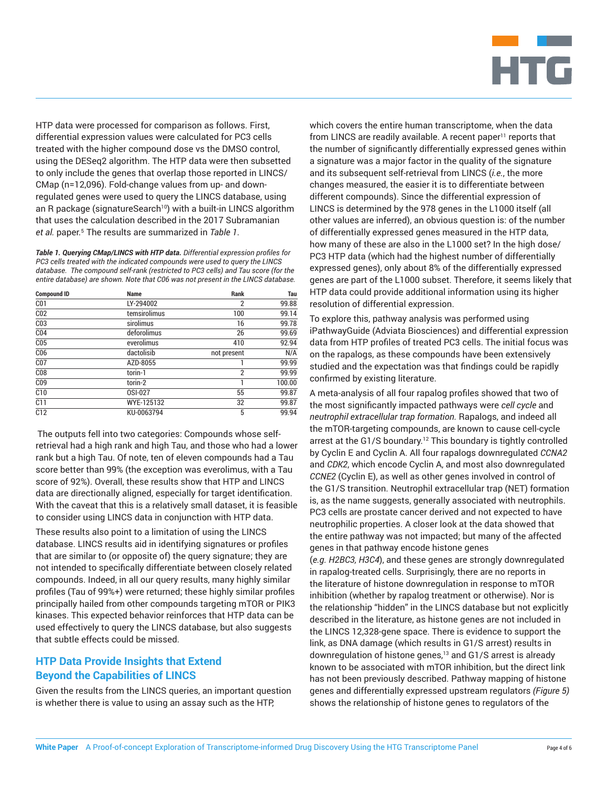

HTP data were processed for comparison as follows. First, differential expression values were calculated for PC3 cells treated with the higher compound dose vs the DMSO control, using the DESeq2 algorithm. The HTP data were then subsetted to only include the genes that overlap those reported in LINCS/ CMap (n=12,096). Fold-change values from up- and downregulated genes were used to query the LINCS database, using an R package (signatureSearch<sup>10</sup>) with a built-in LINCS algorithm that uses the calculation described in the 2017 Subramanian *et al.* paper.5 The results are summarized in *Table 1*.

*Table 1. Querying CMap/LINCS with HTP data. Differential expression profiles for PC3 cells treated with the indicated compounds were used to query the LINCS database. The compound self-rank (restricted to PC3 cells) and Tau score (for the entire database) are shown. Note that C06 was not present in the LINCS database.*

| <b>Compound ID</b> | <b>Name</b>  | Rank           | Tau    |
|--------------------|--------------|----------------|--------|
| C <sub>01</sub>    | LY-294002    | $\overline{2}$ | 99.88  |
| C <sub>02</sub>    | temsirolimus | 100            | 99.14  |
| C <sub>03</sub>    | sirolimus    | 16             | 99.78  |
| C <sub>04</sub>    | deforolimus  | 26             | 99.69  |
| C <sub>05</sub>    | everolimus   | 410            | 92.94  |
| C <sub>06</sub>    | dactolisib   | not present    | N/A    |
| C <sub>07</sub>    | AZD-8055     |                | 99.99  |
| C <sub>08</sub>    | torin-1      | $\overline{2}$ | 99.99  |
| C <sub>09</sub>    | torin-2      | 1              | 100.00 |
| C10                | OSI-027      | 55             | 99.87  |
| C11                | WYE-125132   | 32             | 99.87  |
| C12                | KU-0063794   | 5              | 99.94  |

The outputs fell into two categories: Compounds whose selfretrieval had a high rank and high Tau, and those who had a lower rank but a high Tau. Of note, ten of eleven compounds had a Tau score better than 99% (the exception was everolimus, with a Tau score of 92%). Overall, these results show that HTP and LINCS data are directionally aligned, especially for target identification. With the caveat that this is a relatively small dataset, it is feasible to consider using LINCS data in conjunction with HTP data.

These results also point to a limitation of using the LINCS database. LINCS results aid in identifying signatures or profiles that are similar to (or opposite of) the query signature; they are not intended to specifically differentiate between closely related compounds. Indeed, in all our query results, many highly similar profiles (Tau of 99%+) were returned; these highly similar profiles principally hailed from other compounds targeting mTOR or PIK3 kinases. This expected behavior reinforces that HTP data can be used effectively to query the LINCS database, but also suggests that subtle effects could be missed.

# **HTP Data Provide Insights that Extend Beyond the Capabilities of LINCS**

Given the results from the LINCS queries, an important question is whether there is value to using an assay such as the HTP,

which covers the entire human transcriptome, when the data from LINCS are readily available. A recent paper<sup>11</sup> reports that the number of significantly differentially expressed genes within a signature was a major factor in the quality of the signature and its subsequent self-retrieval from LINCS (*i.e.*, the more changes measured, the easier it is to differentiate between different compounds). Since the differential expression of LINCS is determined by the 978 genes in the L1000 itself (all other values are inferred), an obvious question is: of the number of differentially expressed genes measured in the HTP data, how many of these are also in the L1000 set? In the high dose/ PC3 HTP data (which had the highest number of differentially expressed genes), only about 8% of the differentially expressed genes are part of the L1000 subset. Therefore, it seems likely that HTP data could provide additional information using its higher resolution of differential expression.

To explore this, pathway analysis was performed using iPathwayGuide (Adviata Biosciences) and differential expression data from HTP profiles of treated PC3 cells. The initial focus was on the rapalogs, as these compounds have been extensively studied and the expectation was that findings could be rapidly confirmed by existing literature.

A meta-analysis of all four rapalog profiles showed that two of the most significantly impacted pathways were *cell cycle* and *neutrophil extracellular trap formation.* Rapalogs, and indeed all the mTOR-targeting compounds, are known to cause cell-cycle arrest at the G1/S boundary.<sup>12</sup> This boundary is tightly controlled by Cyclin E and Cyclin A. All four rapalogs downregulated *CCNA2* and *CDK2*, which encode Cyclin A, and most also downregulated *CCNE2* (Cyclin E), as well as other genes involved in control of the G1/S transition. Neutrophil extracellular trap (NET) formation is, as the name suggests, generally associated with neutrophils. PC3 cells are prostate cancer derived and not expected to have neutrophilic properties. A closer look at the data showed that the entire pathway was not impacted; but many of the affected genes in that pathway encode histone genes

(*e.g. H2BC3, H3C4*), and these genes are strongly downregulated in rapalog-treated cells. Surprisingly, there are no reports in the literature of histone downregulation in response to mTOR inhibition (whether by rapalog treatment or otherwise). Nor is the relationship "hidden" in the LINCS database but not explicitly described in the literature, as histone genes are not included in the LINCS 12,328-gene space. There is evidence to support the link, as DNA damage (which results in G1/S arrest) results in downregulation of histone genes,<sup>13</sup> and G1/S arrest is already known to be associated with mTOR inhibition, but the direct link has not been previously described. Pathway mapping of histone genes and differentially expressed upstream regulators *(Figure 5)*  shows the relationship of histone genes to regulators of the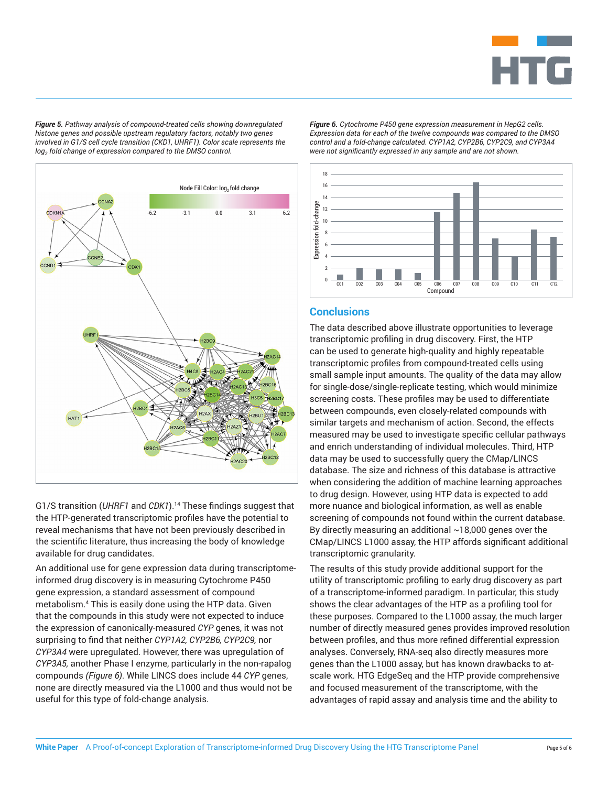

*Figure 5. Pathway analysis of compound-treated cells showing downregulated histone genes and possible upstream regulatory factors, notably two genes involved in G1/S cell cycle transition (CKD1, UHRF1). Color scale represents the log2 fold change of expression compared to the DMSO control.*



G1/S transition (UHRF1 and CDK1).<sup>14</sup> These findings suggest that the HTP-generated transcriptomic profiles have the potential to reveal mechanisms that have not been previously described in the scientific literature, thus increasing the body of knowledge available for drug candidates.

An additional use for gene expression data during transcriptomeinformed drug discovery is in measuring Cytochrome P450 gene expression, a standard assessment of compound metabolism.4 This is easily done using the HTP data. Given that the compounds in this study were not expected to induce the expression of canonically-measured *CYP* genes, it was not surprising to find that neither *CYP1A2, CYP2B6, CYP2C9,* nor *CYP3A4* were upregulated. However, there was upregulation of *CYP3A5,* another Phase I enzyme, particularly in the non-rapalog compounds *(Figure 6)*. While LINCS does include 44 *CYP* genes, none are directly measured via the L1000 and thus would not be useful for this type of fold-change analysis.

*Figure 6. Cytochrome P450 gene expression measurement in HepG2 cells. Expression data for each of the twelve compounds was compared to the DMSO control and a fold-change calculated. CYP1A2, CYP2B6, CYP2C9, and CYP3A4 were not significantly expressed in any sample and are not shown.*



## **Conclusions**

The data described above illustrate opportunities to leverage transcriptomic profiling in drug discovery. First, the HTP can be used to generate high-quality and highly repeatable transcriptomic profiles from compound-treated cells using small sample input amounts. The quality of the data may allow for single-dose/single-replicate testing, which would minimize screening costs. These profiles may be used to differentiate between compounds, even closely-related compounds with similar targets and mechanism of action. Second, the effects measured may be used to investigate specific cellular pathways and enrich understanding of individual molecules. Third, HTP data may be used to successfully query the CMap/LINCS database. The size and richness of this database is attractive when considering the addition of machine learning approaches to drug design. However, using HTP data is expected to add more nuance and biological information, as well as enable screening of compounds not found within the current database. By directly measuring an additional  $\sim$  18,000 genes over the CMap/LINCS L1000 assay, the HTP affords significant additional transcriptomic granularity.

The results of this study provide additional support for the utility of transcriptomic profiling to early drug discovery as part of a transcriptome-informed paradigm. In particular, this study shows the clear advantages of the HTP as a profiling tool for these purposes. Compared to the L1000 assay, the much larger number of directly measured genes provides improved resolution between profiles, and thus more refined differential expression analyses. Conversely, RNA-seq also directly measures more genes than the L1000 assay, but has known drawbacks to atscale work. HTG EdgeSeq and the HTP provide comprehensive and focused measurement of the transcriptome, with the advantages of rapid assay and analysis time and the ability to